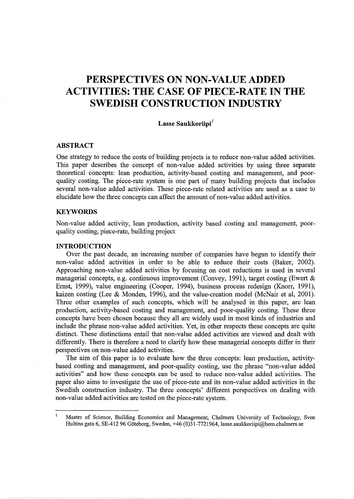# **PERSPECTIVES ON NON-VALUE ADDED ACTIVITIES: THE CASE OF PIECE-RATE IN THE SWEDISH CONSTRUCTION INDUSTRY**

#### Lasse Saukkoriipi<sup>1</sup>

# **ABSTRACT**

One strategy to reduce the costs of building projects is to reduce non-value added activities. This paper describes the concept of non-value added activities by using three separate theoretical concepts: lean production, activity-based costing and management, and poorquality costing. The piece-rate system is one part of many building projects that includes several non-value added activities. These piece-rate related activities are used as a case to elucidate how the three concepts can affect the amount of non-value added activities.

#### **KEYWORDS**

Non-value added activity, lean production, activity based costing and management, poorquality costing, piece-rate, building project

### **INTRODUCTION**

Over the past decade, an increasing number of companies have begun to identify their non-value added activities in order to be able to reduce their costs (Baker, 2002). Approaching non-value added activities by focusing on cost reductions is used in several managerial concepts, e.g. continuous improvement (Convey, 1991), target costing (Ewert & Ernst, 1999), value engineering (Cooper, 1994), business process redesign (Knorr, 1991), kaizen costing (Lee & Monden, 1996), and the value-creation model (McNair et al, 2001). Three other examples of such concepts, which will be analysed in this paper, are lean production, activity-based costing and management, and poor-quality costing. These three concepts have been chosen because they all are widely used **in** most kinds of industries and include the phrase non-value added activities. Yet, in other respects these concepts are quite distinct. These distinctions entail that non-value added activities are viewed and dealt with differently. There is therefore a need to clarify how these managerial concepts differ in their perspectives on non-value added activities.

The aim of this paper is to evaluate how the three concepts: lean production, activitybased costing and management, and poor-quality costing, use the phrase "non-value added activities" and how these concepts can be used to reduce non-value added activities. The paper also aims to investigate the use of piece-rate and its non-value added activities in the Swedish construction industry. The three concepts' different perspectives on dealing with non-value added activities are tested on the piece-rate system.

 $\mathbf{I}$ Master of Science, Building Economics and Management, Chalmers University of Technology, Sven Hultins gata 6, SE-412 96 Göteborg, Sweden, +46 (0)31-7721964, lasse.saukkoriipi@bem.chalmers.se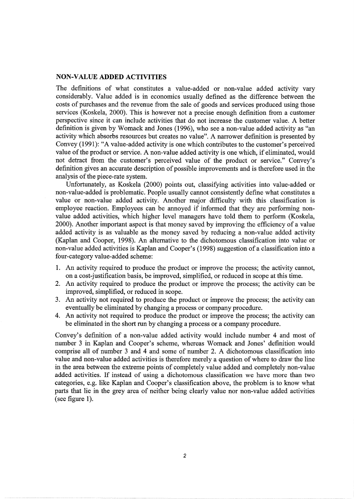## NON-VALUE **ADDED** ACTIVITIES

The definitions of what constitutes a value-added or non-value added activity vary considerably. Value added is in economics usually defined as the difference between the costs of purchases and the revenue from the sale of goods and services produced using those services (Koskela, 2000). This is however not a precise enough definition from a customer perspective since it can include activities that do not increase the customer value. A better definition is given by Womack and Jones (1996), who see a non-value added activity as "an activity which absorbs resources but creates no value". A narrower definition is presented by Convey (1991): "A value-added activity is one which contributes to the customer's perceived value of the product or service. A non-value added activity is one which, if eliminated, would not detract from the customer's perceived value of the product or service." Convey's definition gives an accurate description of possible improvements and is therefore used in the analysis of the piece-rate system.

Unfortunately, as Koskela (2000) points out, classifying activities into value-added or non-value-added is problematic. People usually cannot consistently define what constitutes a value or non-value added activity. Another major difficulty with this classification is employee reaction. Employees can be annoyed if informed that they are performing nonvalue added activities, which higher level managers have told them to perform (Koskela, 2000). Another important aspect is that money saved by improving the efficiency of a value added activity is as valuable as the money saved by reducing a non-value added activity (Kaplan and Cooper, 1998). An alternative to the dichotomous classification into value or non-value added activities is Kaplan and Cooper's (1998) suggestion of a classification into a four-category value-added scheme:

- 1. An activity required to produce the product or improve the process; the activity cannot, on a cost-justification basis, be improved, simplified, or reduced in scope at this time.
- 2. An activity required to produce the product or improve the process; the activity can be improved, simplified, or reduced in scope.
- 3. An activity not required to produce the product or improve the process; the activity can eventually be eliminated by changing a process or company procedure.
- 4. An activity not required to produce the product or improve the process; the activity can be eliminated in the short run by changing a process or a company procedure.

Convey's definition of a non-value added activity would include number 4 and most of number 3 in Kaplan and Cooper's scheme, whereas Womack and Jones' definition would comprise all of number 3 and 4 and some of number 2. A dichotomous classification into value and non-value added activities is therefore merely a question of where to draw the line in the area between the extreme points of completely value added and completely non-value added activities. If instead of using a dichotomous classification we have more than two categories, e.g. like Kaplan and Cooper's classification above, the problem is to know what parts that lie in the grey area of neither being clearly value nor non-value added activities (see figure 1).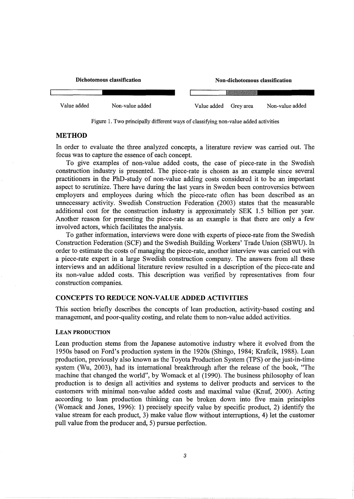

Figure 1. Two principally different ways of classifying non-value added activities

# METHOD

In order to evaluate the three analyzed concepts, a literature review was carried out. The focus was to capture the essence of each concept.

To give examples of non-value added costs, the case of piece-rate in the Swedish construction industry is presented. The piece-rate is chosen as an example since several practitioners in the PhD-study of non-value adding costs considered it to be an important aspect to scrutinize. There have during the last years in Sweden been controversies between employers and employees during which the piece-rate often has been described as an unnecessary activity. Swedish Construction Federation (2003) states that the measurable additional cost for the construction industry is approximately SEK 1.5 billion per year. Another reason for presenting the piece-rate as an example is that there are only a few involved actors, which facilitates the analysis.

To gather information, interviews were done with experts of piece-rate from the Swedish Construction Federation (SCF) and the Swedish Building Workers' Trade Union (SBWU). In order to estimate the costs of managing the piece-rate, another interview was carried out with a piece-rate expert in a large Swedish construction company. The answers from all these interviews and an additional literature review resulted in a description of the piece-rate and its non-value added costs. This description was verified by representatives from four construction companies.

# CONCEPTS TO REDUCE NON-VALUE ADDED ACTIVITIES

This section briefly describes the concepts of lean production, activity-based costing and management, and poor-quality costing, and relate them to non-value added activities.

# LEAN PRODUCTION

Lean production stems from the Japanese automotive industry where it evolved from the 1950s based on Ford's production system in the 1920s (Shingo, 1984; Krafcik, 1988). Lean production, previously also known as the Toyota Production System (TPS) or the just-in-time system (Wu, 2003), had its international breakthrough after the release of the book, "The machine that changed the world", by Womack et al (1990). The business philosophy of lean production is to design all activities and systems to deliver products and services to the customers with minimal non-value added costs and maximal value (Knuf, 2000). Acting according to lean production thinking can be broken down into five main principles (Womack and Jones, 1996): 1) precisely specify value by specific product, 2) identify the value stream for each product, 3) make value flow without interruptions, 4) let the customer pull value from the producer and, 5) pursue perfection.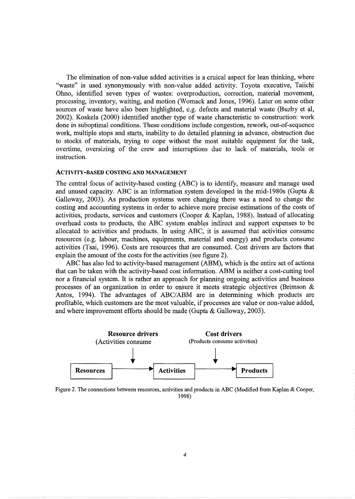The elimination of non-value added activities is a cruical aspect for lean thinking, where "waste" is used synonymously with non-value added activity. Toyota executive, Taiichi Ohno, identified seven types of wastes: overproduction, correction, material movement, processing, inventory, waiting, and motion (Womack and Jones, 1996). Later on some other sources of waste have also been highlighted, e.g. defects and material waste (Buzby et al, 2002). Koskela (2000) identified another type of waste characteristic to construction: work done in suboptimal conditions. These conditions include congestion, rework, out-of-sequence work, multiple stops and starts, inability to do detailed planning in advance, obstruction due to stocks of materials, trying to cope without the most suitable equipment for the task, overtime, oversizing of the crew and interruptions due to lack of materials, tools or instruction.

## ACTIVITY-BASED COSTING AND MANAGEMENT

The central focus of activity-based costing (ABC) is to identify, measure and manage used and unused capacity. ABC is an information system developed in the mid-1980s (Gupta & Galloway, 2003). As production systems were changing there was a need to change the costing and accounting systems in order to achieve more precise estimations of the costs of activities, products, services and customers (Cooper & Kaplan, 1988). Instead of allocating overhead costs to products, the ABC system enables indirect and support expenses to be allocated to activities and products. In using ABC, it is assumed that activities consume resources (e.g. labour, machines, equipments, material and energy) and products consume activities (Tsai, 1996). Costs are resources that are consumed. Cost drivers are factors that explain the amount of the costs for the activities (see figure 2).

ABC has also led to activity-based management (ABM), which is the entire set of actions that can be taken with the activity-based cost information. ABM is neither a cost-cutting tool nor a financial system. It is rather an approach for planning ongoing activities and business processes of an organization in order to ensure it meets strategic objectives (Brimson & Antos, 1994). The advantages of ABC/ABM are in determining which products are profitable, which customers are the most valuable, if processes are value or non-value added, and where improvement efforts should be made (Gupta & Galloway, 2003).



Figure 2. The connections between resources, activities and products in ABC (Modified from Kaplan & Cooper, 1998)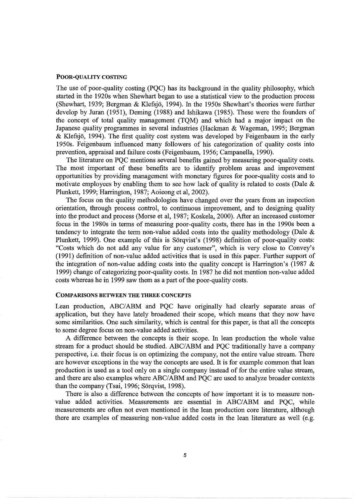#### POOR-QUALITY COSTING

The use of poor-quality costing (PQC) has its background in the quality philosophy, which started in the 1920s when Shewhart began to use a statistical view to the production process (Shewhart, 1939; Bergman & Klefsjö, 1994). In the 1950s Shewhart's theories were further develop by Juran (1951), Deming (1988) and Ishikawa (1985). These were the founders of the concept of total quality management (TQM) and which had a major impact on the Japanese quality programmes in several industries (Hackman & Wageman, 1995; Bergman & Klefsjö, 1994). The first quality cost system was developed by Feigenbaum in the early 1950s. Feigenbaum influenced many followers of his categorization of quality costs into prevention, appraisal and failure costs (Feigenbaum, 1956; Campanella, 1990).

The literature on PQC mentions several benefits gained by measuring poor-quality costs. The most important of these benefits are to identify problem areas and improvement opportunities by providing management with monetary figures for poor-quality costs and to motivate employees by enabling them to see how lack of quality is related to costs (Dale & Plunkett, 1999; Harrington, 1987; Aoieong et al, 2002).

The focus on the quality methodologies have changed over the years from an inspection orientation, through process control, to continuous improvement, and to designing quality into the product and process (Morse et al, 1987; Koskela, 2000). After an increased customer focus in the 1980s in terms of measuring poor-quality costs, there has in the 1990s been a tendency to integrate the term non-value added costs into the quality methodology (Dale & Plunkett, 1999). One example of this is Sörqvist's (1998) definition of poor-quality costs: "Costs which do not add any value for any customer", which is very close to Convey's (1991) definition of non-value added activities that is used in this paper. Further support of the integration of non-value adding costs into the quality concept is Harrington's (1987  $\&$ 1999) change of categorizing poor-quality costs. In 1987 he did not mention non-value added costs whereas he in 1999 saw them as a part of the poor-quality costs.

#### COMPARISONS BETWEEN THE THREE CONCEPTS

Lean production, ABC/ABM and PQC have originally had clearly separate areas of application, but they have lately broadened their scope, which means that they now have some similarities. One such similarity, which is central for this paper, is that all the concepts to some degree focus on non-value added activities.

A difference between the concepts is their scope. In lean production the whole value stream for a product should be studied. ABC/ABM and PQC traditionally have a company perspective, i.e. their focus is on optimizing the company, not the entire value stream. There are however exceptions in the way the concepts are used. It is for example common that lean production is used as a tool only on a single company instead of for the entire value stream, and there are also examples where ABC/ABM and PQC are used to analyze broader contexts than the company (Tsai, 1996; Sörqvist, 1998).

There is also a difference between the concepts of how important it is to measure nonvalue added activities. Measurements are essential in ABC/ABM and PQC, while measurements are often not even mentioned in the lean production core literature, although there are examples of measuring non-value added costs in the lean literature as well (e.g.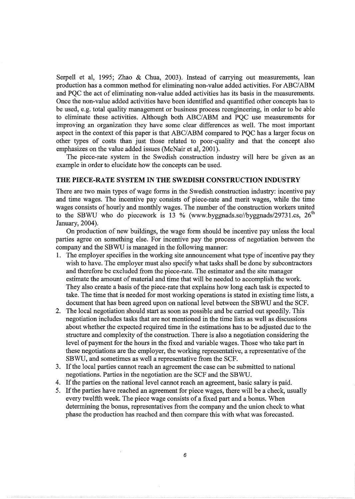Serpell et al, 1995; Zhao & Chua, 2003). Instead of carrying out measurements, lean production has a common method for eliminating non-value added activities. For ABC/ABM and PQC the act of eliminating non-value added activities has its basis in the measurements. Once the non-value added activities have been identified and quantified other concepts has to be used, e.g. total quality management or business process reengineering, in order to be able to eliminate these activities. Although both ABC/ABM and PQC use measurements for improving an organization they have some clear differences as well. The most important aspect in the context of this paper is that ABC/ABM compared to PQC has a larger focus on other types of costs than just those related to poor-quality and that the concept also emphasizes on the value added issues (McNair et al, 2001).

The piece-rate system in the Swedish construction industry will here be given as an example in order to elucidate how the concepts can be used.

#### **THE PIECE-RATE SYSTEM IN THE SWEDISH CONSTRUCTION INDUSTRY**

There are two main types of wage forms in the Swedish construction industry: incentive pay and time wages. The incentive pay consists of piece-rate and merit wages, while the time wages consists of hourly and monthly wages. The number of the construction workers united to the SBWU who do piecework is 13 % (www.byggnads.se//byggnads/29731.cs,  $26<sup>th</sup>$ January, 2004).

On production of new buildings, the wage form should be incentive pay unless the local parties agree on something else. For incentive pay the process of negotiation between the company and the SBWU is managed in the following manner:

- 1. The employer specifies in the working site announcement what type of incentive pay they wish to have. The employer must also specify what tasks shall be done by subcontractors and therefore be excluded from the piece-rate. The estimator and the site manager estimate the amount of material and time that will be needed to accomplish the work. They also create a basis of the piece-rate that explains how long each task is expected to take. The time that is needed for most working operations is stated in existing time lists, a document that has been agreed upon on national level between the SBWU and the SCF.
- 2. The local negotiation should start as soon as possible and be carried out speedily. This negotiation includes tasks that are not mentioned in the time lists as well as discussions about whether the expected required time in the estimations has to be adjusted due to the structure and complexity of the construction. There is also a negotiation considering the level of payment for the hours in the fixed and variable wages. Those who take part in these negotiations are the employer, the working representative, a representative of the SBWU, and sometimes as well a representative from the SCF.
- 3. If the local parties cannot reach an agreement the case can be submitted to national negotiations. Parties in the negotiation are the SCF and the SBWU.
- 4. If the parties on the national level cannot reach an agreement, basic salary is paid.
- 5. If the parties have reached an agreement for piece wages, there will be a check, usually every twelfth week. The piece wage consists of a fixed part and a bonus. When determining the bonus, representatives from the company and the union check to what phase the production has reached and then compare this with what was forecasted.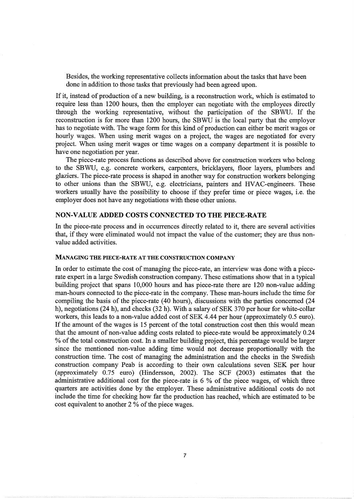Besides, the working representative collects information about the tasks that have been done in addition to those tasks that previously had been agreed upon.

If it, instead of production of a new building, is a reconstruction work, which is estimated to require less than 1200 hours, then the employer can negotiate with the employees directly through the working representative, without the participation of the SBWU. If the reconstruction is for more than 1200 hours, the SBWU is the local party that the employer has to negotiate with. The wage form for this kind of production can either be merit wages or hourly wages. When using merit wages on a project, the wages are negotiated for every project. When using merit wages or time wages on a company department it is possible to have one negotiation per year.

The piece-rate process functions as described above for construction workers who belong to the SBWU, e.g. concrete workers, carpenters, bricklayers, floor layers, plumbers and glaziers. The piece-rate process is shaped in another way for construction workers belonging to other unions than the SBWU, e.g. electricians, painters and HV AC-engineers. These workers usually have the possibility to choose if they prefer time or piece wages, i.e. the employer does not have any negotiations with these other unions.

## NON-VALUE ADDED COSTS CONNECTED TO THE PIECE-RATE

In the piece-rate process and in occurrences directly related to it, there are several activities that, if they were eliminated would not impact the value of the customer; they are thus nonvalue added activities.

#### MANAGING THE PIECE-RATE AT THE CONSTRUCTION COMPANY

In order to estimate the cost of managing the piece-rate, an interview was done with a piecerate expert in a large Swedish construction company. These estimations show that in a typical building project that spans 10,000 hours and has piece-rate there are 120 non-value adding man-hours connected to the piece-rate in the company. These man-hours include the time for compiling the basis of the piece-rate (40 hours), discussions with the parties concerned (24 h), negotiations (24 h), and checks (32 h). With a salary of SEK 370 per hour for white-collar workers, this leads to a non-value added cost of SEK 4.44 per hour (approximately 0.5 euro). If the amount of the wages is 15 percent of the total construction cost then this would mean that the amount of non-value adding costs related to piece-rate would be approximately 0.24 %of the total construction cost. In a smaller building project, this percentage would be larger since the mentioned non-value adding time would not decrease proportionally with the construction time. The cost of managing the administration and the checks in the Swedish construction company Peab is according to their own calculations seven SEK per hour (approximately 0.75 euro) (Hindersson, 2002). The SCF (2003) estimates that the administrative additional cost for the piece-rate is 6 % of the piece wages, of which three quarters are activities done by the employer. These administrative additional costs do not include the time for checking how far the production has reached, which are estimated to be cost equivalent to another 2 % of the piece wages.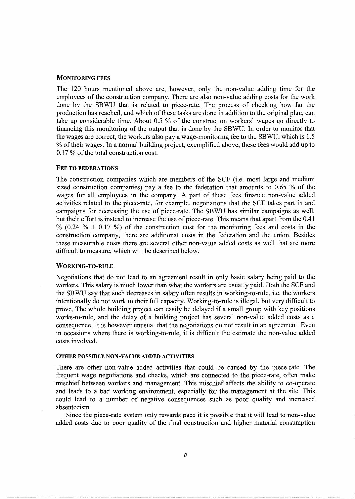## MONITORING FEES

The 120 hours mentioned above are, however, only the non-value adding time for the employees of the construction company. There are also non-value adding costs for the work done by the SBWU that is related to piece-rate. The process of checking how far the production has reached, and which of these tasks are done in addition to the original plan, can take up considerable time. About 0.5 % of the construction workers' wages go directly to financing this monitoring of the output that is done by the SBWU. In order to monitor that the wages are correct, the workers also pay a wage-monitoring fee to the SBWU, which is 1.5 %of their wages. In a normal building project, exemplified above, these fees would add up to 0.17 % of the total construction cost.

#### FEE TO FEDERATIONS

The construction companies which are members of the SCF (i.e. most large and medium sized construction companies) pay a fee to the federation that amounts to 0.65 % of the wages for all employees in the company. A part of these fees finance non-value added activities related to the piece-rate, for example, negotiations that the SCF takes part in and campaigns for decreasing the use of piece-rate. The SBWU has similar campaigns as well, but their effort is instead to increase the use of piece-rate. This means that apart from the 0.41  $\%$  (0.24  $\%$  + 0.17  $\%$ ) of the construction cost for the monitoring fees and costs in the construction company, there are additional costs in the federation and the union. Besides these measurable costs there are several other non-value added costs as well that are more difficult to measure, which will be described below.

#### WORKING-TO-RULE

Negotiations that do not lead to an agreement result in only basic salary being paid to the workers. This salary is much lower than what the workers are usually paid. Both the SCF and the SBWU say that such decreases in salary often results in working-to-rule, i.e. the workers intentionally do not work to their full capacity. Working-to-rule is illegal, but very difficult to prove. The whole building project can easily be delayed if a small group with key positions works-to-rule, and the delay of a building project has several non-value added costs as a consequence. It is however unusual that the negotiations do not result in an agreement. Even in occasions where there is working-to-rule, it is difficult the estimate the non-value added costs involved.

## OTHER POSSIBLE NON-VALUE ADDED ACTIVITIES

There are other non-value added activities that could be caused by the piece-rate. The frequent wage negotiations and checks, which are connected to the piece-rate, often make mischief between workers and management. This mischief affects the ability to co-operate and leads to a bad working environment, especially for the management at the site. This could lead to a number of negative consequences such as poor quality and increased absenteeism.

Since the piece-rate system only rewards pace it is possible that it will lead to non-value added costs due to poor quality of the final construction and higher material consumption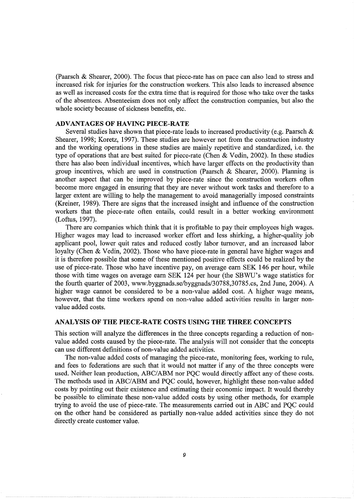(Paarsch & Shearer, 2000). The focus that piece-rate has on pace can also lead to stress and increased risk for injuries for the construction workers. This also leads to increased absence as well as increased costs for the extra time that is required for those who take over the tasks of the absentees. Absenteeism does not only affect the construction companies, but also the whole society because of sickness benefits, etc.

#### **ADVANTAGES OF HAVING PIECE-RATE**

Several studies have shown that piece-rate leads to increased productivity (e.g. Paarsch & Shearer, 1998; Koretz, 1997). These studies are however not from the construction industry and the working operations in these studies are mainly repetitive and standardized, i.e. the type of operations that are best suited for piece-rate (Chen & Vedin, 2002). In these studies there has also been individual incentives, which have larger effects on the productivity than group incentives, which are used in construction (Paarsch & Shearer, 2000). Planning is another aspect that can be improved by piece-rate since the construction workers often become more engaged in ensuring that they are never without work tasks and therefore to a larger extent are willing to help the management to avoid managerially imposed constraints (Kreiner, 1989). There are signs that the increased insight and influence of the construction workers that the piece-rate often entails, could result in a better working environment (Loftus, 1997).

There are companies which think that it is profitable to pay their employees high wages. Higher wages may lead to increased worker effort and less shirking, a higher-quality job applicant pool, lower quit rates and reduced costly labor turnover, and an increased labor loyalty (Chen & Vedin, 2002). Those who have piece-rate in general have higher wages and it is therefore possible that some of these mentioned positive effects could be realized by the use of piece-rate. Those who have incentive pay, on average earn SEK 146 per hour, while those with time wages on average earn SEK 124 per hour (the SBWU's wage statistics for the fourth quarter of 2003, www.byggnads.se/byggnads/30788,30785.cs, 2nd June, 2004). A higher wage cannot be considered to be a non-value added cost. A higher wage means, however, that the time workers spend on non-value added activities results in larger nonvalue added costs.

#### **ANALYSIS OF THE PIECE-RATE COSTS USING THE THREE CONCEPTS**

This section will analyze the differences in the three concepts regarding a reduction of nonvalue added costs caused by the piece-rate. The analysis will not consider that the concepts can use different definitions of non-value added activities.

The non-value added costs of managing the piece-rate, monitoring fees, working to rule, and fees to federations are such that it would not matter if any of the three concepts were used. Neither lean production, ABC/ABM nor PQC would directly affect any of these costs. The methods used in ABC/ABM and PQC could, however, highlight these non-value added costs by pointing out their existence and estimating their economic impact. It would thereby be possible to eliminate these non-value added costs by using other methods, for example trying to avoid the use of piece-rate. The measurements carried out in ABC and PQC could on the other hand be considered as partially non-value added activities since they do not directly create customer value.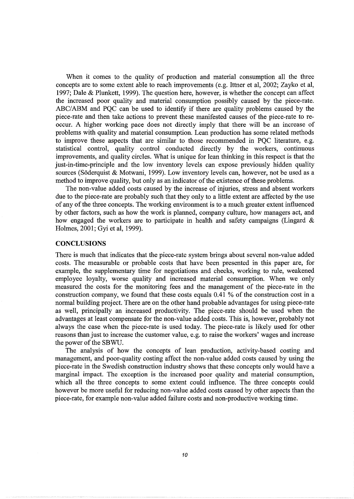When it comes to the quality of production and material consumption all the three concepts are to some extent able to reach improvements (e.g. Ittner et al, 2002; Zayko et al, 1997; Dale & Plunkett, 1999). The question here, however, is whether the concept can affect the increased poor quality and material consumption possibly caused by the piece-rate. ABC/ ABM and PQC can be used to identify if there are quality problems caused by the piece-rate and then take actions to prevent these manifested causes of the piece-rate to reoccur. A higher working pace does not directly imply that there will be an increase of problems with quality and material consumption. Lean production has some related methods to improve these aspects that are similar to those recommended in PQC literature, e.g. statistical control, quality control conducted directly by the workers, continuous improvements, and quality circles. What is unique for lean thinking in this respect is that the just-in-time-principle and the low inventory levels can expose previously hidden quality sources (Söderquist & Motwani, 1999). Low inventory levels can, however, not be used as a method to improve quality, but only as an indicator of the existence of these problems.

The non-value added costs caused by the increase of injuries, stress and absent workers due to the piece-rate are probably such that they only to a little extent are affected by the use of any of the three concepts. The working environment is to a much greater extent influenced by other factors, such as how the work is planned, company culture, how managers act, and how engaged the workers are to participate in health and safety campaigns (Lingard & Holmes, 2001; Gyi et al, 1999).

## **CONCLUSIONS**

There is much that indicates that the piece-rate system brings about several non-value added costs. The measurable or probable costs that have been presented in this paper are, for example, the supplementary time for negotiations and checks, working to rule, weakened employee loyalty, worse quality and increased material consumption. When we only measured the costs for the monitoring fees and the management of the piece-rate in the construction company, we found that these costs equals 0.41 % of the construction cost in a normal building project. There are on the other hand probable advantages for using piece-rate as well, principally an increased productivity. The piece-rate should be used when the advantages at least compensate for the non-value added costs. This is, however, probably not always the case when the piece-rate is used today. The piece-rate is likely used for other reasons than just to increase the customer value, e.g. to raise the workers' wages and increase the power of the SBWU.

The analysis of how the concepts of lean production, activity-based costing and management, and poor-quality costing affect the non-value added costs caused by using the piece-rate in the Swedish construction industry shows that these concepts only would have a marginal impact. The exception is the increased poor quality and material consumption, which all the three concepts to some extent could influence. The three concepts could however be more useful for reducing non-value added costs caused by other aspects than the piece-rate, for example non-value added failure costs and non-productive working time.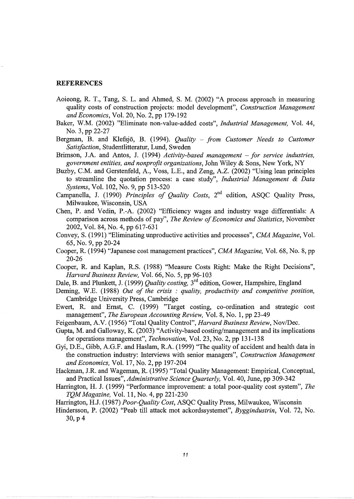## **REFERENCES**

- Aoieong, R. T., Tang, S. L. and Ahmed, S. M. (2002) "A process approach in measuring quality costs of construction projects: model development", *Construction Management and Economics,* Vol. 20, No.2, pp 179-192
- Baker, W.M. (2002) "Eliminate non-value-added costs", *Industrial Management,* Vol. 44, No. 3, pp 22-27
- Bergman, B. and Klefsjo, B. (1994). *Quality from Customer Needs to Customer Satisfaction,* Studentlitteratur, Lund, Sweden
- Brimson, J.A. and Antos, J. (1994) *Activity-based management -for service industries, government entities, and nonprofit organizations,* John Wiley & Sons, New York, NY
- Buzby, C.M. and Gerstenfeld, A., Voss, L.E., and Zeng, A.Z. (2002) "Using lean principles to streamline the quotation process: a case study", *Industrial Management* & *Data Systems, Vol. 102, No. 9, pp 513-520*
- Campanella, J. (1990) *Principles of Quality Costs,* 2nd edition, ASQC Quality Press, Milwaukee, Wisconsin, USA
- Chen, P. and Vedin, P.-A. (2002) "Efficiency wages and industry wage differentials: A comparison across methods of pay", *The Review of Economics and Statistics,* November 2002, Vol. 84, No.4, pp 617-631
- Convey, S. (1991) "Eliminating unproductive activities and processes", *CMA Magazine,* Vol. 65, No. 9, pp 20-24
- Cooper, R. (1994) "Japanese cost management practices", *CMA Magazine,* Vol. 68, No.8, pp 20-26
- Cooper, R. and Kaplan, R.S. (1988) "Measure Costs Right: Make the Right Decisions", *Harvard Business Review, Vol. 66, No. 5, pp 96-103*
- Dale, B. and Plunkett, J. (1999) *Quality costing,* 3rd edition, Gower, Hampshire, England
- Deming, W.E. (1988) *Out of the crisis : quality, productivity and competitive position,*  Cambridge University Press, Cambridge
- Ewert, R. and Ernst, C. (1999) "Target costing, co-ordination and strategic cost management", *The European Accounting Review,* Vol. 8, No. 1, pp 23-49
- Feigenbaum, A.V. (1956) "Total Quality Control", *Harvard Business Review,* Nov/Dec.
- Gupta, M. and Galloway, K. (2003) "Activity-based costing/management and its implications for operations management", *Technovation,* Vol. 23, No.2, pp 131-138
- Gyi, D.E., Gibb, A.G.F. and Haslam, R.A. (1999) "The quality of accident and health data in the construction industry: Interviews with senior managers", *Construction Management andEconomics,* Vol.17,No.2,pp 197-204
- Hackman, J.R. and Wageman, R. (1995) "Total Quality Management: Empirical, Conceptual, and Practical Issues", *Administrative Science Quarterly,* Vol. 40, June, pp 309-342
- Harrington, H. J. (1999) "Performance improvement: a total poor-quality cost system", *The TQM Magazine,* Vol. 11, No.4, pp 221-230
- Harrington, H.J. (1987) *Poor-Quality Cost,* ASQC Quality Press, Milwaukee, Wisconsin
- Hindersson, P. (2002) "Peab till attack mot ackordssystemet", *Byggindustrin,* Vol. 72, No. 30,p4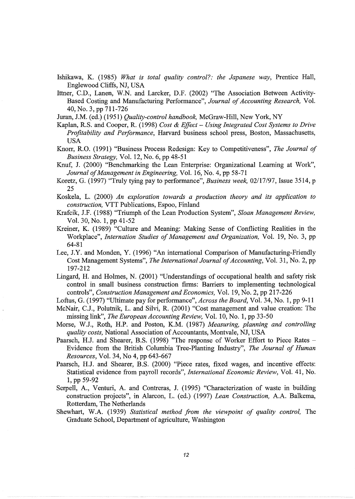- Ishikawa, K. (1985) *What is total quality control?: the Japanese way,* Prentice Hall, Englewood Cliffs, NJ, USA
- Ittner, C.D., Lanen, W.N. and Larcker, D.F. (2002) "The Association Between Activity-Based Costing and Manufacturing Performance", *Journal of Accounting Research,* Vol. 40, No.3, pp 711-726
- Juran, J.M. (ed.) (1951) *Quality-control handbook,* McGraw-Hill, New York, NY
- Kaplan, R.S. and Cooper, R. (1998) *Cost* & *Effect- Using Integrated Cost Systems to Drive Profitability and Performance,* Harvard business school press, Boston, Massachusetts, **USA**
- Knorr, R.O. (1991) "Business Process Redesign: Key to Competitiveness", *The Journal of Business Strategy,* Vol. 12, No.6, pp 48-51
- Knuf, J. (2000) "Benchmarking the Lean Enterprise: Organizational Learning at Work", *Journal of Management in Engineering,* Vol. 16, No.4, pp 58-71
- Koretz, G. (1997) "Truly tying pay to performance", *Business week,* 02/17/97, Issue 3514, p 25
- Koskela, L. (2000) *An exploration towards a production theory and its application to construction,* VTT Publications, Espoo, Finland
- Krafcik, J.F. (1988) "Triumph of the Lean Production System", *Sloan Management Review,*  Vol. 30, No. 1, pp 41-52
- Kreiner, K. (1989) "Culture and Meaning: Making Sense of Conflicting Realities in the Workplace", *Internation Studies of Management and Organization,* Vol. 19, No. 3, pp 64-81
- Lee, J.Y. and Monden, Y. (1996) "An international Comparison of Manufacturing-Friendly Cost Management Systems", *The International Journal of Accounting,* Vol. 31, No.2, pp 197-212
- Lingard, H. and Holmes, N. (2001) "Understandings of occupational health and safety risk control in small business construction firms: Barriers to implementing technological controls", *Construction Management and Economics,* Vol. 19, No.2, pp 217-226

Loftus, G. (1997) "Ultimate pay for performance", *Across the Board,* Vol. 34, No. 1, pp 9-11

- McNair, C.J., Polutnik, L. and Silvi, R. (2001) "Cost management and value creation: The missing link", *The European Accounting Review,* Vol. 10, No. 1, pp 33-50
- Morse, W.J., Roth, H.P. and Poston, K.M. (1987) *Measuring, planning and controlling quality costs,* National Association of Accountants, Montvale, NJ, USA
- Paarsch, H.J. and Shearer, B.S. (1998) "The response of Worker Effort to Piece Rates Evidence from the British Columbia Tree-Planting Industry", *The Journal of Human Resources,* Vol. 34, No 4, pp 643-667
- Paarsch, H.J. and Shearer, B.S. (2000) "Piece rates, fixed wages, and incentive effects: Statistical evidence from payroll records", *International Economic Review,* Vol. 41, No. 1, pp 59-92
- Serpell, A., Venturi, A. and Contreras, J. (1995) "Characterization of waste in building construction projects", in Alarcon, L. (ed.) (1997) *Lean Construction,* A.A. Balkema, Rotterdam, The Netherlands
- Shewhart, W.A. (1939) *Statistical method from the viewpoint of quality control,* The Graduate School, Department of agriculture, Washington